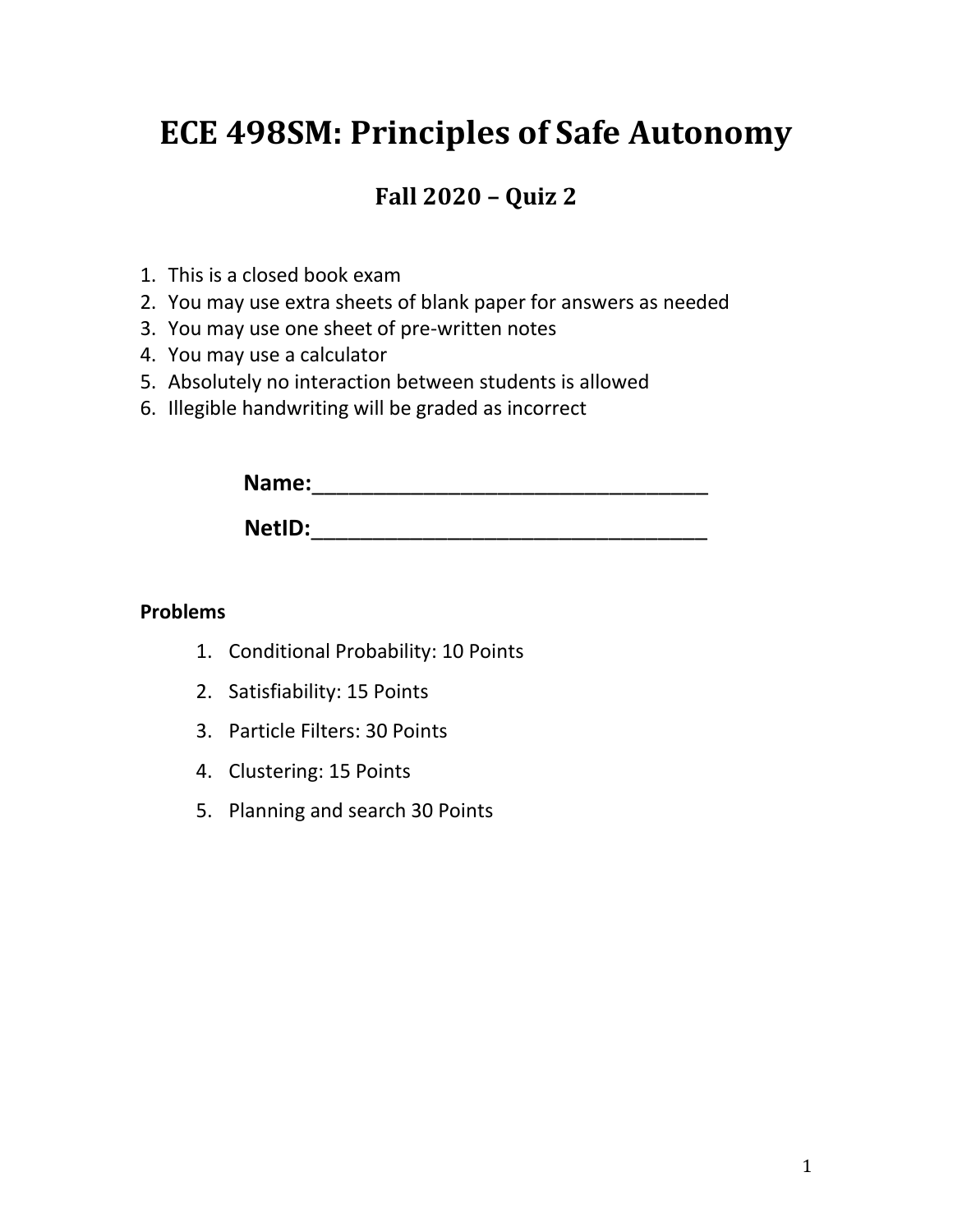# **ECE 498SM: Principles of Safe Autonomy**

# **Fall 2020 – Quiz 2**

- 1. This is a closed book exam
- 2. You may use extra sheets of blank paper for answers as needed
- 3. You may use one sheet of pre-written notes
- 4. You may use a calculator
- 5. Absolutely no interaction between students is allowed
- 6. Illegible handwriting will be graded as incorrect

| Name:  |  |  |
|--------|--|--|
| NetID: |  |  |

#### **Problems**

- 1. Conditional Probability: 10 Points
- 2. Satisfiability: 15 Points
- 3. Particle Filters: 30 Points
- 4. Clustering: 15 Points
- 5. Planning and search 30 Points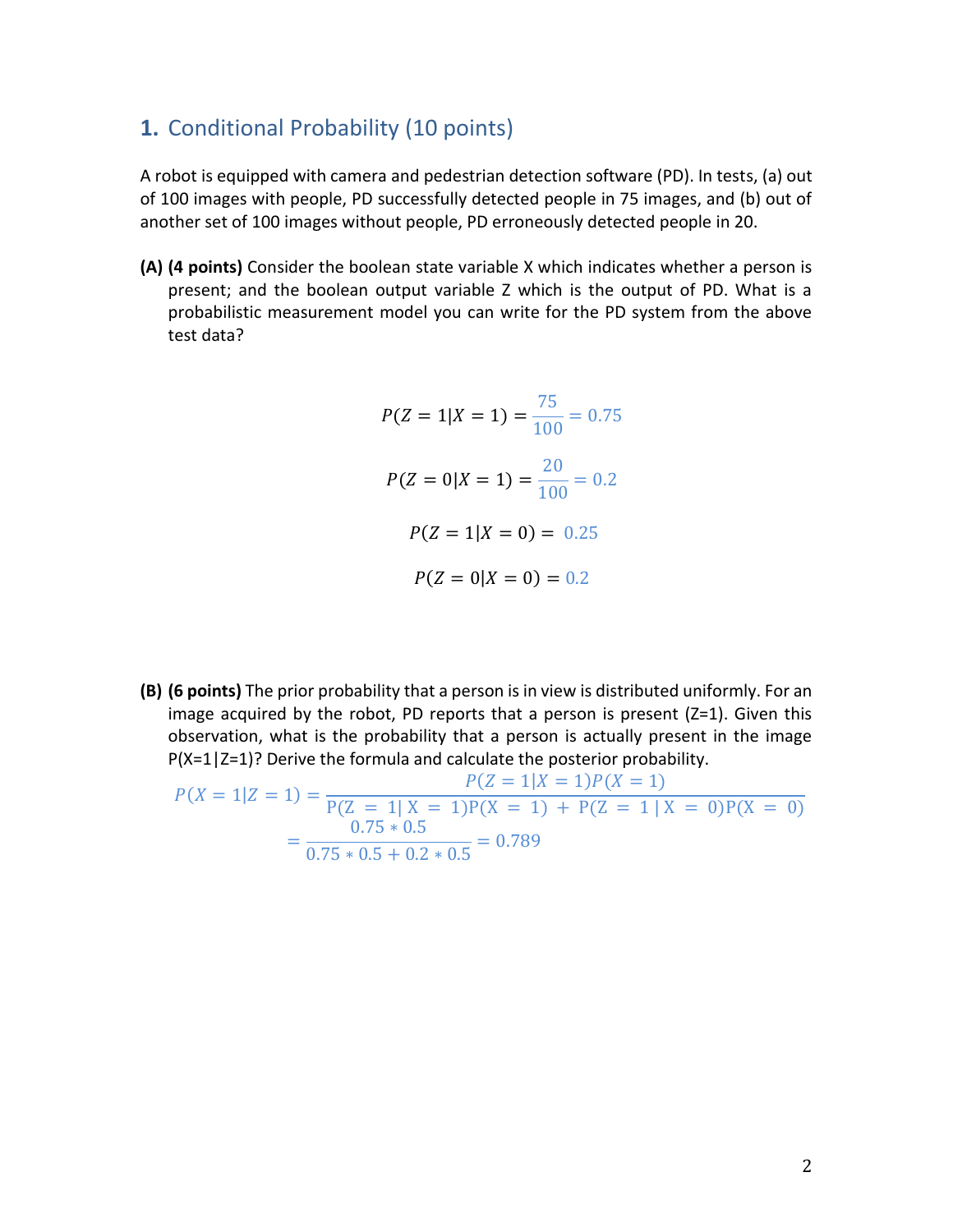## **1.** Conditional Probability (10 points)

A robot is equipped with camera and pedestrian detection software (PD). In tests, (a) out of 100 images with people, PD successfully detected people in 75 images, and (b) out of another set of 100 images without people, PD erroneously detected people in 20.

**(A) (4 points)** Consider the boolean state variable X which indicates whether a person is present; and the boolean output variable Z which is the output of PD. What is a probabilistic measurement model you can write for the PD system from the above test data?

$$
P(Z = 1|X = 1) = \frac{75}{100} = 0.75
$$
  

$$
P(Z = 0|X = 1) = \frac{20}{100} = 0.2
$$
  

$$
P(Z = 1|X = 0) = 0.25
$$
  

$$
P(Z = 0|X = 0) = 0.2
$$

**(B) (6 points)** The prior probability that a person is in view is distributed uniformly. For an image acquired by the robot, PD reports that a person is present  $(Z=1)$ . Given this observation, what is the probability that a person is actually present in the image P(X=1|Z=1)? Derive the formula and calculate the posterior probability.

$$
P(X = 1|Z = 1) = \frac{P(Z = 1|X = 1)P(X = 1)}{P(Z = 1|X = 1)P(X = 1) + P(Z = 1|X = 0)P(X = 0)}
$$
  
= 
$$
\frac{0.75 * 0.5}{0.75 * 0.5 + 0.2 * 0.5} = 0.789
$$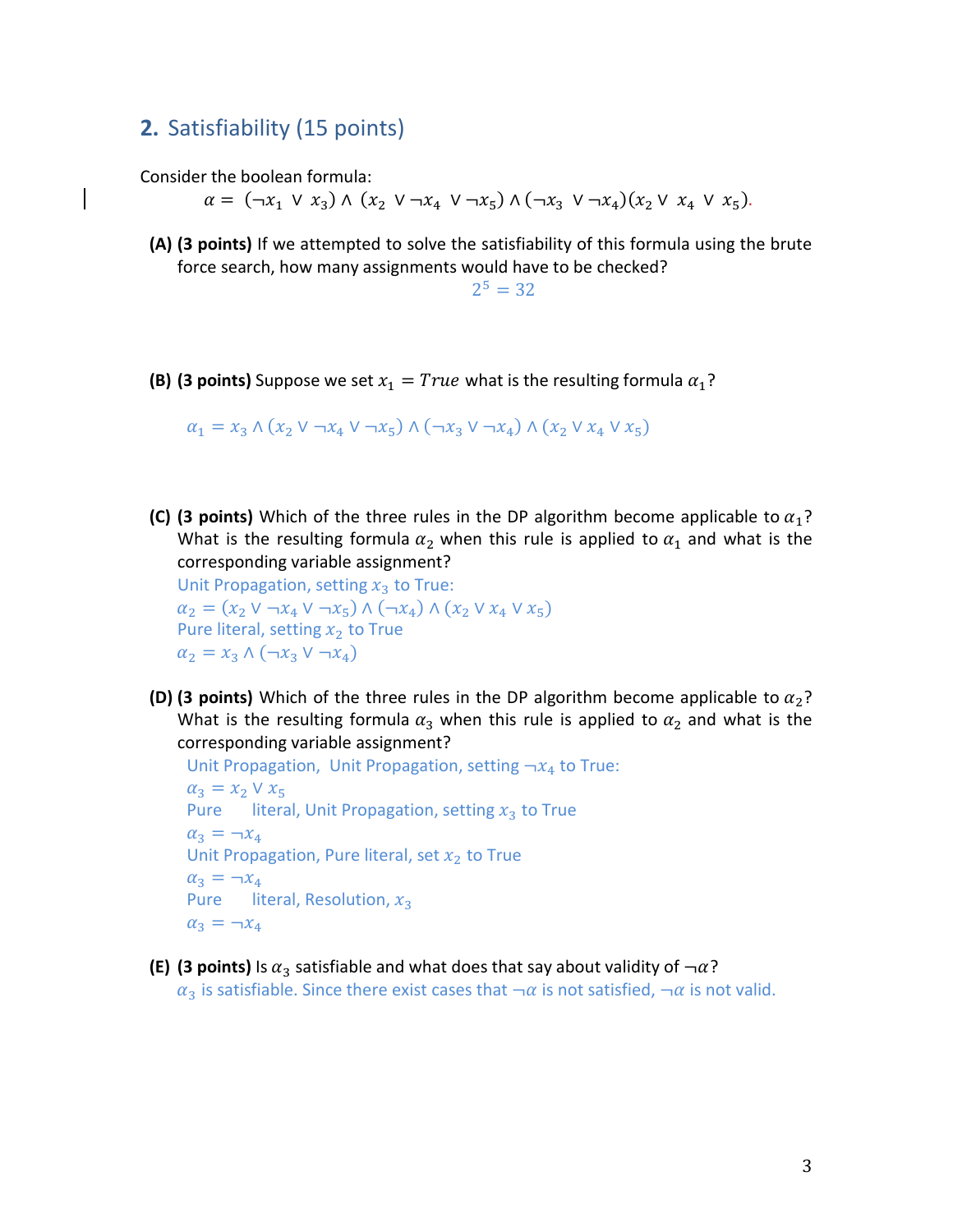## **2.** Satisfiability (15 points)

Consider the boolean formula:

 $\alpha = (\neg x_1 \lor x_3) \land (x_2 \lor \neg x_4 \lor \neg x_5) \land (\neg x_3 \lor \neg x_4)(x_2 \lor x_4 \lor x_5).$ 

**(A) (3 points)** If we attempted to solve the satisfiability of this formula using the brute force search, how many assignments would have to be checked?

 $2^5 = 32$ 

**(B) (3 points)** Suppose we set  $x_1 = True$  what is the resulting formula  $\alpha_1$ ?

 $\alpha_1 = x_3 \wedge (x_2 \vee \neg x_4 \vee \neg x_5) \wedge (\neg x_3 \vee \neg x_4) \wedge (x_2 \vee x_4 \vee x_5)$ 

**(C)** (3 points) Which of the three rules in the DP algorithm become applicable to  $\alpha_1$ ? What is the resulting formula  $\alpha_2$  when this rule is applied to  $\alpha_1$  and what is the corresponding variable assignment?

Unit Propagation, setting  $x_3$  to True:  $\alpha_2 = (x_2 \vee \neg x_4 \vee \neg x_5) \wedge (\neg x_4) \wedge (x_2 \vee x_4 \vee x_5)$ Pure literal, setting  $x_2$  to True  $\alpha_2 = x_3 \wedge (\neg x_3 \vee \neg x_4)$ 

**(D) (3 points)** Which of the three rules in the DP algorithm become applicable to  $\alpha_2$ ? What is the resulting formula  $\alpha_3$  when this rule is applied to  $\alpha_2$  and what is the corresponding variable assignment?

```
Unit Propagation, Unit Propagation, setting \neg x_4 to True:
\alpha_3 = x_2 \vee x_5Pure literal, Unit Propagation, setting x_3 to True
\alpha_3 = -x_4Unit Propagation, Pure literal, set x_2 to True
\alpha_3 = -x_4Pure literal, Resolution, x_3\alpha_3 = -x_4
```
**(E)** (3 points) Is  $\alpha_3$  satisfiable and what does that say about validity of  $\neg \alpha$ ?

 $\alpha_3$  is satisfiable. Since there exist cases that  $\neg \alpha$  is not satisfied,  $\neg \alpha$  is not valid.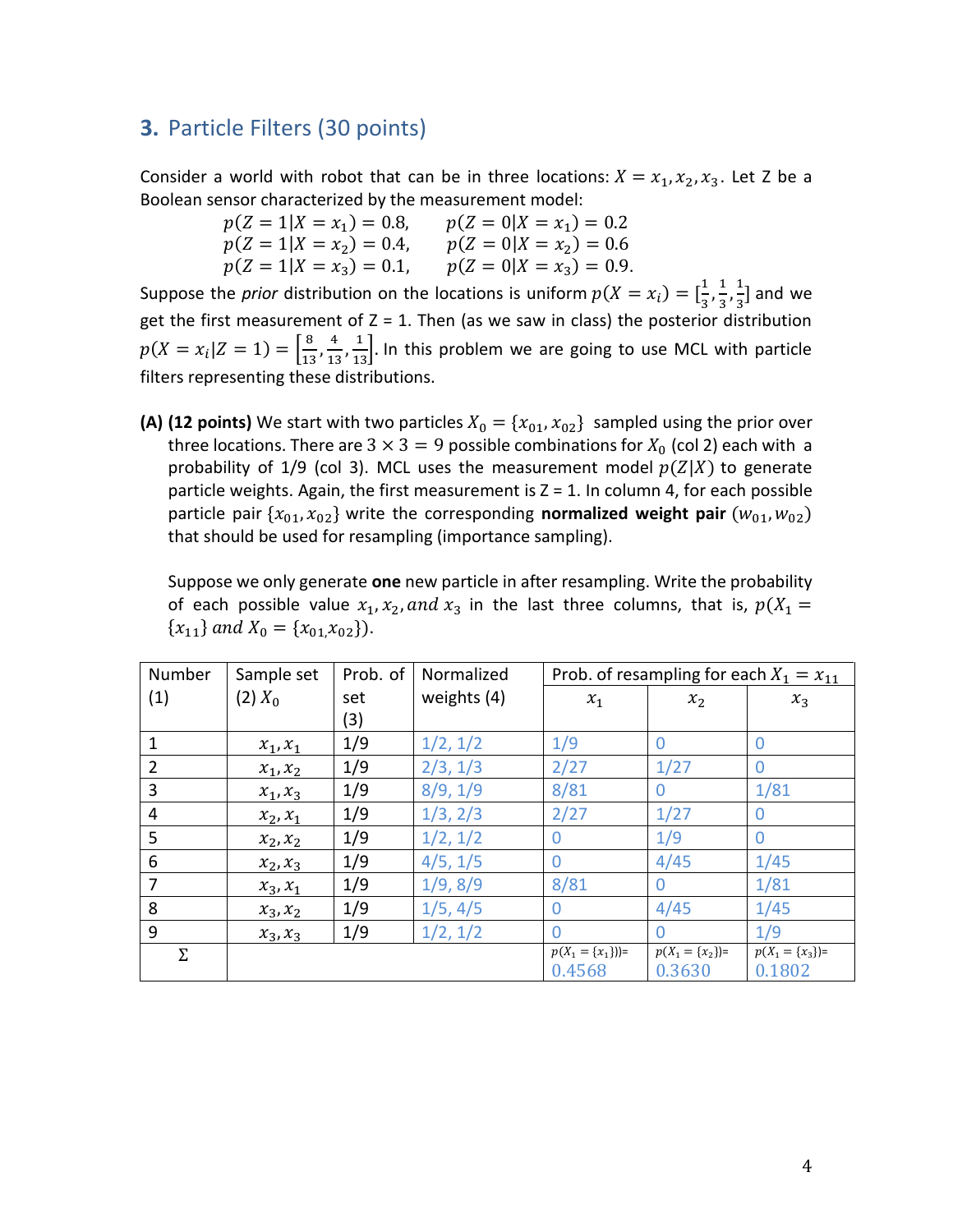### **3.** Particle Filters (30 points)

Consider a world with robot that can be in three locations:  $X = x_1, x_2, x_3$ . Let Z be a Boolean sensor characterized by the measurement model:

| $p(Z = 1   X = x_1) = 0.8,$ | $p(Z = 0   X = x_1) = 0.2$ |
|-----------------------------|----------------------------|
| $p(Z = 1   X = x_2) = 0.4$  | $p(Z = 0 X = x_2) = 0.6$   |
| $p(Z = 1   X = x_3) = 0.1$  | $p(Z = 0 X = x_3) = 0.9.$  |

Suppose the *prior* distribution on the locations is uniform  $p(X = x_i) = \left[\frac{1}{3}\right]$  $\frac{1}{3}, \frac{1}{3}$  $\frac{1}{3}, \frac{1}{3}$  $\frac{1}{3}$  and we get the first measurement of  $Z = 1$ . Then (as we saw in class) the posterior distribution  $p(X = x_i | Z = 1) = \frac{8}{15}$  $\frac{8}{13}, \frac{4}{13}$  $\frac{4}{13}, \frac{1}{13}$ . In this problem we are going to use MCL with particle filters representing these distributions.

**(A) (12 points)** We start with two particles  $X_0 = \{x_{01}, x_{02}\}$  sampled using the prior over three locations. There are  $3 \times 3 = 9$  possible combinations for  $X_0$  (col 2) each with a probability of 1/9 (col 3). MCL uses the measurement model  $p(Z|X)$  to generate particle weights. Again, the first measurement is  $Z = 1$ . In column 4, for each possible particle pair  $\{x_{01}, x_{02}\}$  write the corresponding **normalized weight pair**  $(w_{01}, w_{02})$ that should be used for resampling (importance sampling).

Suppose we only generate **one** new particle in after resampling. Write the probability of each possible value  $x_1, x_2,$  and  $x_3$  in the last three columns, that is,  $p(X_1 =$  ${x_{11}}$  and  $X_0 = {x_{01}.x_{02}}$ .

| Number         | Sample set | Prob. of | Normalized  | Prob. of resampling for each $X_1 = x_{11}$ |                               |                               |
|----------------|------------|----------|-------------|---------------------------------------------|-------------------------------|-------------------------------|
| (1)            | $(2) X_0$  | set      | weights (4) | $x_1$                                       | $x_2$                         | $x_3$                         |
|                |            | (3)      |             |                                             |                               |                               |
| $\mathbf{1}$   | $x_1, x_1$ | 1/9      | 1/2, 1/2    | 1/9                                         | 0                             | $\Omega$                      |
| $\overline{2}$ | $x_1, x_2$ | 1/9      | 2/3, 1/3    | 2/27                                        | 1/27                          | $\Omega$                      |
| 3              | $x_1, x_3$ | 1/9      | 8/9, 1/9    | 8/81                                        | $\Omega$                      | 1/81                          |
| 4              | $x_2, x_1$ | 1/9      | 1/3, 2/3    | 2/27                                        | 1/27                          | $\Omega$                      |
| 5              | $x_2, x_2$ | 1/9      | 1/2, 1/2    | $\overline{0}$                              | 1/9                           | $\Omega$                      |
| 6              | $x_2, x_3$ | 1/9      | 4/5, 1/5    | $\Omega$                                    | 4/45                          | 1/45                          |
| 7              | $x_3, x_1$ | 1/9      | 1/9, 8/9    | 8/81                                        | $\Omega$                      | 1/81                          |
| 8              | $x_3, x_2$ | 1/9      | 1/5, 4/5    | $\Omega$                                    | 4/45                          | 1/45                          |
| 9              | $x_3, x_3$ | 1/9      | 1/2, 1/2    | $\Omega$                                    | $\Omega$                      | 1/9                           |
| Σ              |            |          |             | $p(X_1 = \{x_1\})=$<br>0.4568               | $p(X_1 = \{x_2\})=$<br>0.3630 | $p(X_1 = \{x_3\})=$<br>0.1802 |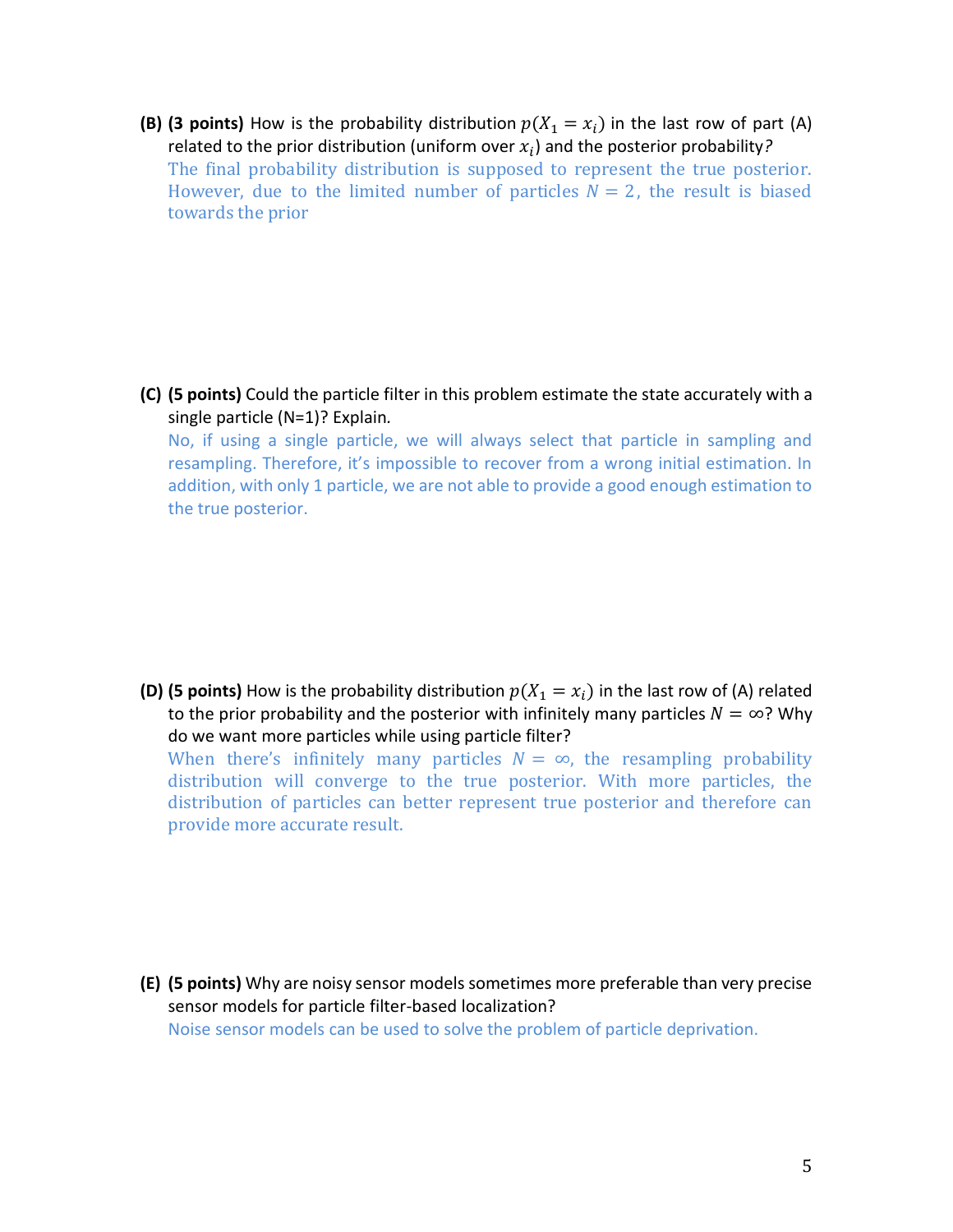**(B) (3 points)** How is the probability distribution  $p(X_1 = x_i)$  in the last row of part (A) related to the prior distribution (uniform over  $x_i$ ) and the posterior probability? The final probability distribution is supposed to represent the true posterior. However, due to the limited number of particles  $N = 2$ , the result is biased towards the prior

**(C) (5 points)** Could the particle filter in this problem estimate the state accurately with a single particle (N=1)? Explain*.*

No, if using a single particle, we will always select that particle in sampling and resampling. Therefore, it's impossible to recover from a wrong initial estimation. In addition, with only 1 particle, we are not able to provide a good enough estimation to the true posterior.

**(D) (5 points)** How is the probability distribution  $p(X_1 = x_i)$  in the last row of (A) related to the prior probability and the posterior with infinitely many particles  $N = \infty$ ? Why do we want more particles while using particle filter? When there's infinitely many particles  $N = \infty$ , the resampling probability distribution will converge to the true posterior. With more particles, the distribution of particles can better represent true posterior and therefore can provide more accurate result.

- 
- **(E) (5 points)** Why are noisy sensor models sometimes more preferable than very precise sensor models for particle filter-based localization? Noise sensor models can be used to solve the problem of particle deprivation.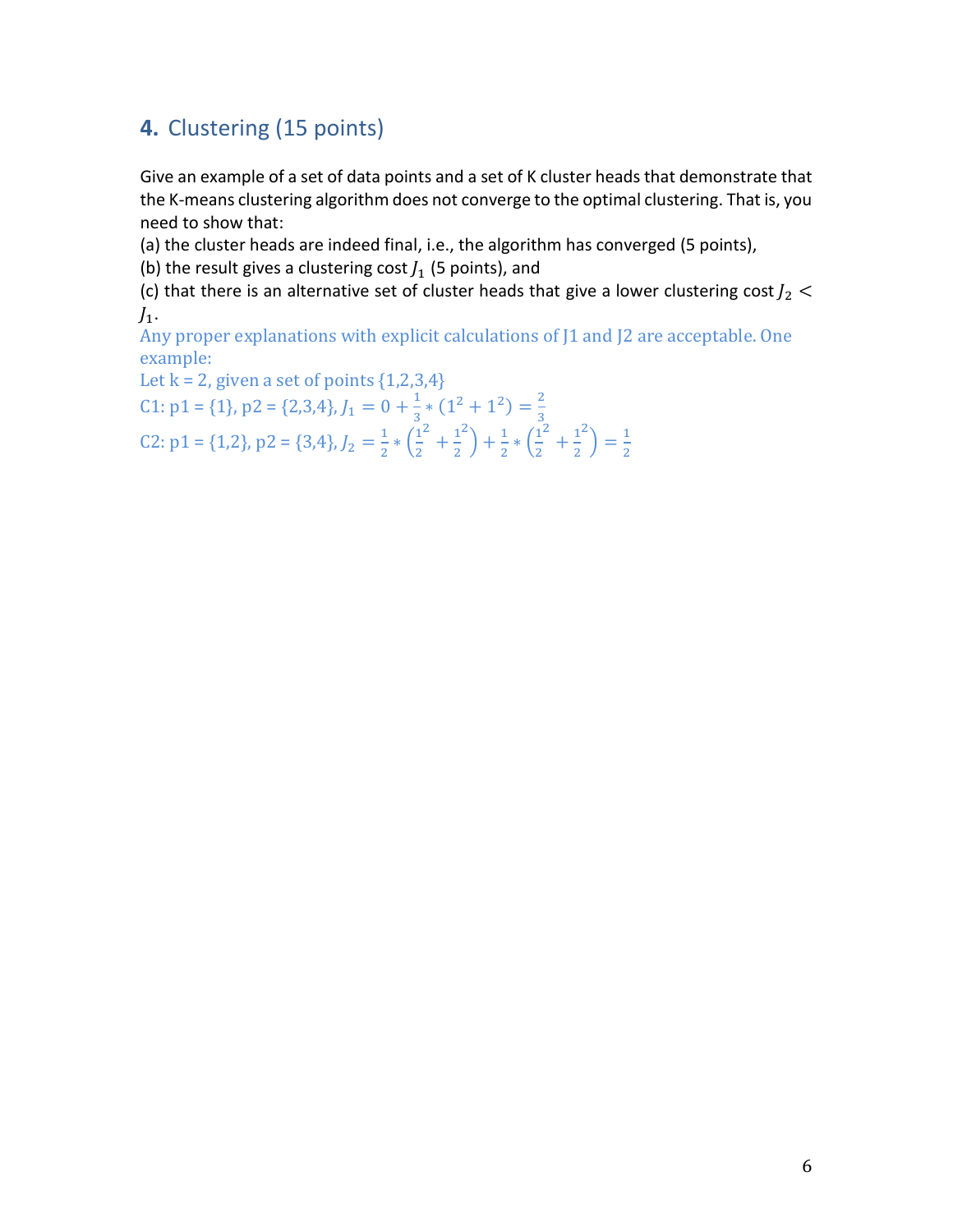## **4.** Clustering (15 points)

Give an example of a set of data points and a set of K cluster heads that demonstrate that the K-means clustering algorithm does not converge to the optimal clustering. That is, you need to show that:

(a) the cluster heads are indeed final, i.e., the algorithm has converged (5 points),

(b) the result gives a clustering cost  $J_1$  (5 points), and

(c) that there is an alternative set of cluster heads that give a lower clustering cost  $J_2$  <  $J_1$ .

Any proper explanations with explicit calculations of J1 and J2 are acceptable. One example:

Let  $k = 2$ , given a set of points  $\{1,2,3,4\}$ 

C1: p1 = {1}, p2 = {2,3,4},  $J_1 = 0 + \frac{1}{3}$  $\frac{1}{3} * (1^2 + 1^2) = \frac{2}{3}$ 3

C2: p1 = {1,2}, p2 = {3,4},  $J_2 = \frac{1}{2}$  $\frac{1}{2} * (\frac{1}{2})$ 2  $+\frac{1}{2}$ 2  $\binom{2}{1} + \frac{1}{2}$  $rac{1}{2} * \left(\frac{1}{2}\right)$ 2  $+\frac{1}{2}$ 2  $\binom{2}{1} = \frac{1}{2}$ 2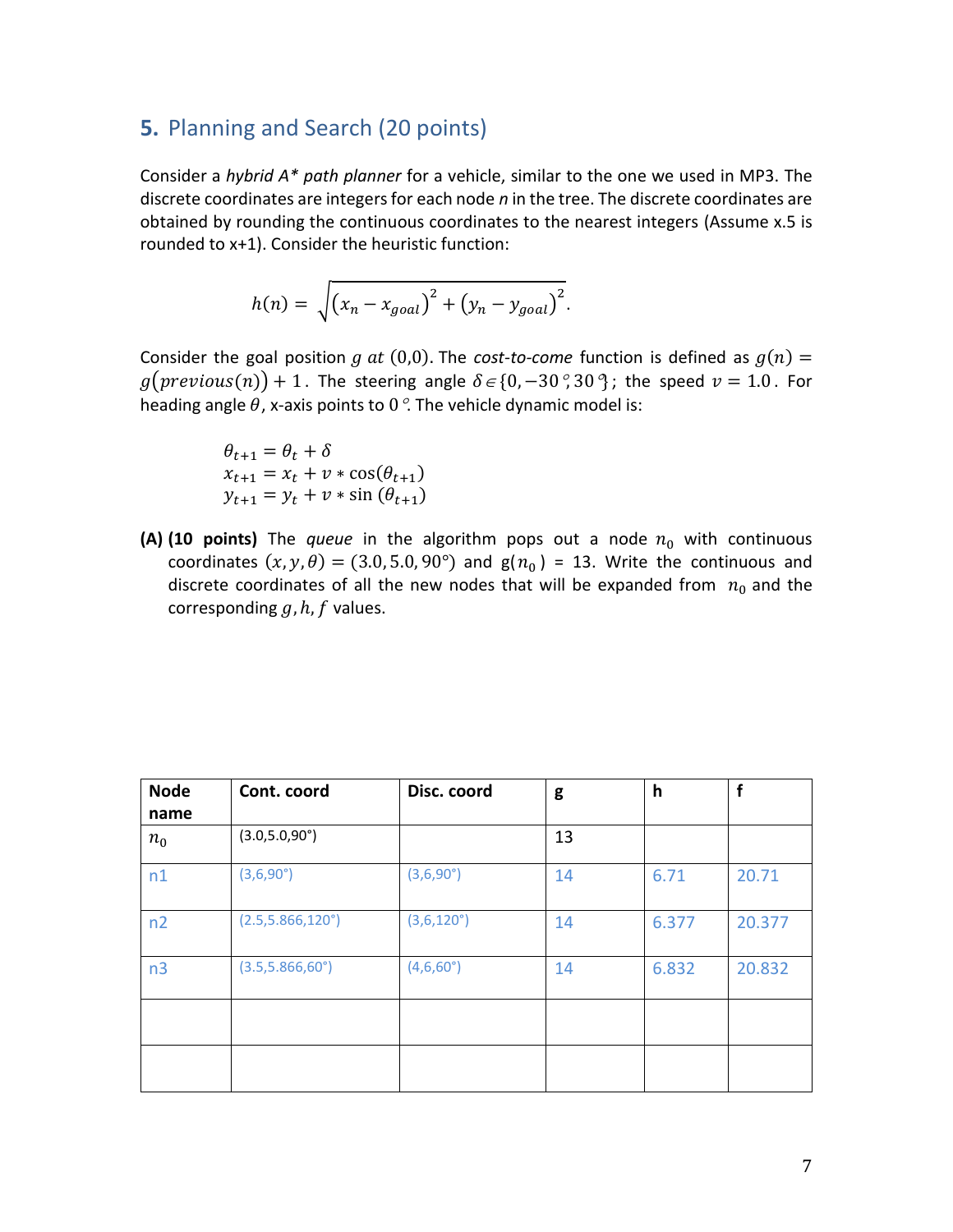#### **5.** Planning and Search (20 points)

Consider a *hybrid A\* path planner* for a vehicle, similar to the one we used in MP3. The discrete coordinates are integers for each node *n* in the tree. The discrete coordinates are obtained by rounding the continuous coordinates to the nearest integers (Assume x.5 is rounded to x+1). Consider the heuristic function:

$$
h(n) = \sqrt{(x_n - x_{goal})^2 + (y_n - y_{goal})^2}.
$$

Consider the goal position g at  $(0,0)$ . The *cost-to-come* function is defined as  $g(n)$  =  $g(\text{previous}(n)) + 1$ . The steering angle  $\delta \in \{0, -30^\circ, 30^\circ\}$ ; the speed  $v = 1.0$ . For heading angle  $\theta$ , x-axis points to 0  $\degree$ . The vehicle dynamic model is:

$$
\theta_{t+1} = \theta_t + \delta
$$
  
\n
$$
x_{t+1} = x_t + v * \cos(\theta_{t+1})
$$
  
\n
$$
y_{t+1} = y_t + v * \sin(\theta_{t+1})
$$

**(A)** (10 **points)** The *queue* in the algorithm pops out a node  $n_0$  with continuous coordinates  $(x, y, \theta) = (3.0, 5.0, 90^{\circ})$  and  $g(n_0) = 13$ . Write the continuous and discrete coordinates of all the new nodes that will be expanded from  $n_0$  and the corresponding  $g, h, f$  values.

| <b>Node</b><br>name | Cont. coord                | Disc. coord         | g  | $\mathsf{h}$ | f      |
|---------------------|----------------------------|---------------------|----|--------------|--------|
| $n_0$               | $(3.0, 5.0, 90^{\circ})$   |                     | 13 |              |        |
| n1                  | $(3,6,90^{\circ})$         | $(3,6,90^{\circ})$  | 14 | 6.71         | 20.71  |
| n2                  | $(2.5, 5.866, 120^\circ)$  | $(3,6,120^{\circ})$ | 14 | 6.377        | 20.377 |
| n <sub>3</sub>      | $(3.5, 5.866, 60^{\circ})$ | (4,6,60°)           | 14 | 6.832        | 20.832 |
|                     |                            |                     |    |              |        |
|                     |                            |                     |    |              |        |